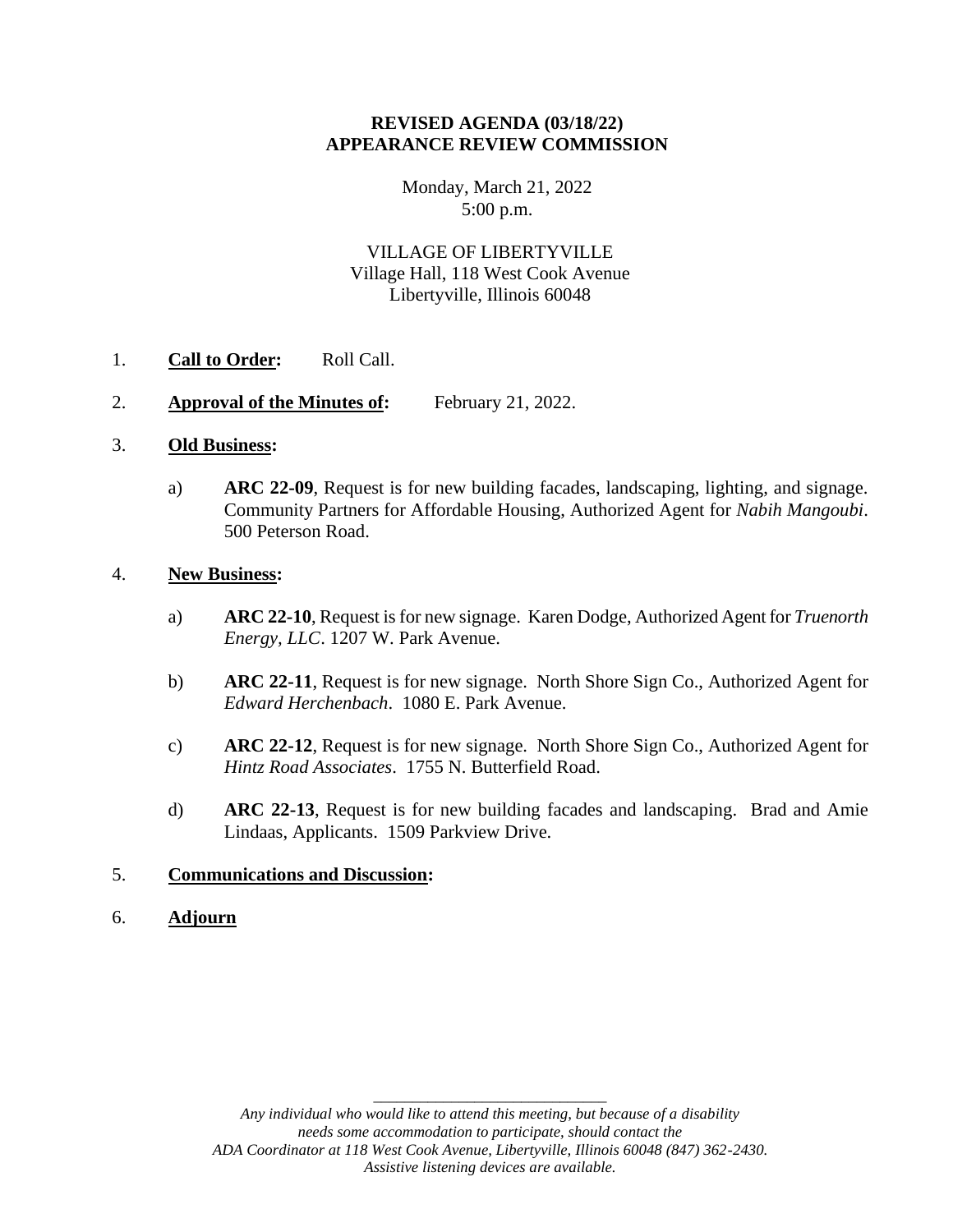# **REVISED AGENDA (03/18/22) APPEARANCE REVIEW COMMISSION**

Monday, March 21, 2022 5:00 p.m.

VILLAGE OF LIBERTYVILLE Village Hall, 118 West Cook Avenue Libertyville, Illinois 60048

- 1. **Call to Order:** Roll Call.
- 2. **Approval of the Minutes of:** February 21, 2022.

#### 3. **Old Business:**

a) **ARC 22-09**, Request is for new building facades, landscaping, lighting, and signage. Community Partners for Affordable Housing, Authorized Agent for *Nabih Mangoubi*. 500 Peterson Road.

# 4. **New Business:**

- a) **ARC 22-10**, Request is for new signage. Karen Dodge, Authorized Agent for *Truenorth Energy, LLC*. 1207 W. Park Avenue.
- b) **ARC 22-11**, Request is for new signage. North Shore Sign Co., Authorized Agent for *Edward Herchenbach*. 1080 E. Park Avenue.
- c) **ARC 22-12**, Request is for new signage. North Shore Sign Co., Authorized Agent for *Hintz Road Associates*. 1755 N. Butterfield Road.
- d) **ARC 22-13**, Request is for new building facades and landscaping. Brad and Amie Lindaas, Applicants. 1509 Parkview Drive.

#### 5. **Communications and Discussion:**

6. **Adjourn**

\_\_\_\_\_\_\_\_\_\_\_\_\_\_\_\_\_\_\_\_\_\_\_\_\_\_\_\_\_\_